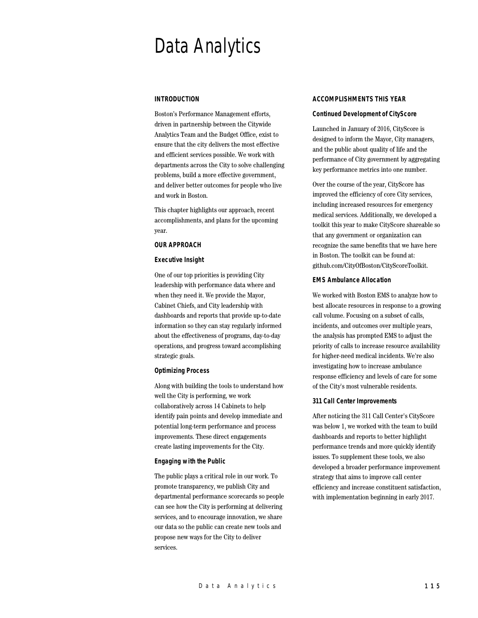# Data Analytics

## **INTRODUCTION**

Boston's Performance Management efforts, driven in partnership between the Citywide Analytics Team and the Budget Office, exist to ensure that the city delivers the most effective and efficient services possible. We work with departments across the City to solve challenging problems, build a more effective government, and deliver better outcomes for people who live and work in Boston.

This chapter highlights our approach, recent accomplishments, and plans for the upcoming year.

## **OUR APPROACH**

#### **Executive Insight**

One of our top priorities is providing City leadership with performance data where and when they need it. We provide the Mayor, Cabinet Chiefs, and City leadership with dashboards and reports that provide up-to-date information so they can stay regularly informed about the effectiveness of programs, day-to-day operations, and progress toward accomplishing strategic goals.

## **Optimizing Process**

Along with building the tools to understand how well the City is performing, we work collaboratively across 14 Cabinets to help identify pain points and develop immediate and potential long-term performance and process improvements. These direct engagements create lasting improvements for the City.

#### **Engaging with the Public**

The public plays a critical role in our work. To promote transparency, we publish City and departmental performance scorecards so people can see how the City is performing at delivering services, and to encourage innovation, we share our data so the public can create new tools and propose new ways for the City to deliver services.

## **ACCOMPLISHMENTS THIS YEAR**

#### **Continued Development of CityScore**

Launched in January of 2016, CityScore is designed to inform the Mayor, City managers, and the public about quality of life and the performance of City government by aggregating key performance metrics into one number.

Over the course of the year, CityScore has improved the efficiency of core City services, including increased resources for emergency medical services. Additionally, we developed a toolkit this year to make CityScore shareable so that any government or organization can recognize the same benefits that we have here in Boston. The toolkit can be found at: github.com/CityOfBoston/CityScoreToolkit.

#### **EMS Ambulance Allocation**

We worked with Boston EMS to analyze how to best allocate resources in response to a growing call volume. Focusing on a subset of calls, incidents, and outcomes over multiple years, the analysis has prompted EMS to adjust the priority of calls to increase resource availability for higher-need medical incidents. We're also investigating how to increase ambulance response efficiency and levels of care for some of the City's most vulnerable residents.

#### **311 Call Center Improvements**

After noticing the 311 Call Center's CityScore was below 1, we worked with the team to build dashboards and reports to better highlight performance trends and more quickly identify issues. To supplement these tools, we also developed a broader performance improvement strategy that aims to improve call center efficiency and increase constituent satisfaction, with implementation beginning in early 2017.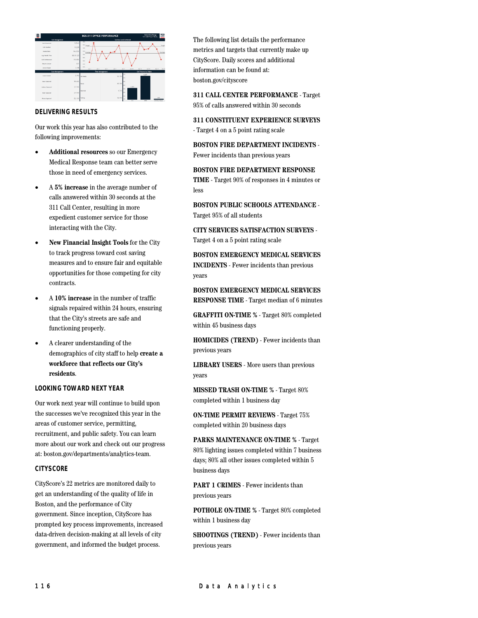

## **DELIVERING RESULTS**

Our work this year has also contributed to the following improvements:

- **Additional resources** so our Emergency Medical Response team can better serve those in need of emergency services.
- A **5% increase** in the average number of calls answered within 30 seconds at the 311 Call Center, resulting in more expedient customer service for those interacting with the City.
- **New Financial Insight Tools** for the City to track progress toward cost saving measures and to ensure fair and equitable opportunities for those competing for city contracts.
- A **10% increase** in the number of traffic signals repaired within 24 hours, ensuring that the City's streets are safe and functioning properly.
- A clearer understanding of the demographics of city staff to help **create a workforce that reflects our City's residents**.

## **LOOKING TOWARD NEXT YEAR**

Our work next year will continue to build upon the successes we've recognized this year in the areas of customer service, permitting, recruitment, and public safety. You can learn more about our work and check out our progress at: boston.gov/departments/analytics-team.

## **CITYSCORE**

CityScore's 22 metrics are monitored daily to get an understanding of the quality of life in Boston, and the performance of City government. Since inception, CityScore has prompted key process improvements, increased data-driven decision-making at all levels of city government, and informed the budget process.

The following list details the performance metrics and targets that currently make up CityScore. Daily scores and additional information can be found at: boston.gov/cityscore

**311 CALL CENTER PERFORMANCE** - Target 95% of calls answered within 30 seconds

**311 CONSTITUENT EXPERIENCE SURVEYS** - Target 4 on a 5 point rating scale

**BOSTON FIRE DEPARTMENT INCIDENTS** - Fewer incidents than previous years

**BOSTON FIRE DEPARTMENT RESPONSE TIME** - Target 90% of responses in 4 minutes or less

**BOSTON PUBLIC SCHOOLS ATTENDANCE** - Target 95% of all students

**CITY SERVICES SATISFACTION SURVEYS** - Target 4 on a 5 point rating scale

**BOSTON EMERGENCY MEDICAL SERVICES INCIDENTS** - Fewer incidents than previous years

**BOSTON EMERGENCY MEDICAL SERVICES RESPONSE TIME** - Target median of 6 minutes

**GRAFFITI ON-TIME %** - Target 80% completed within 45 business days

**HOMICIDES (TREND)** - Fewer incidents than previous years

**LIBRARY USERS** - More users than previous years

**MISSED TRASH ON-TIME %** - Target 80% completed within 1 business day

**ON-TIME PERMIT REVIEWS** - Target 75% completed within 20 business days

**PARKS MAINTENANCE ON-TIME %** - Target 80% lighting issues completed within 7 business days; 80% all other issues completed within 5 business days

**PART 1 CRIMES** - Fewer incidents than previous years

**POTHOLE ON-TIME %** - Target 80% completed within 1 business day

**SHOOTINGS (TREND)** - Fewer incidents than previous years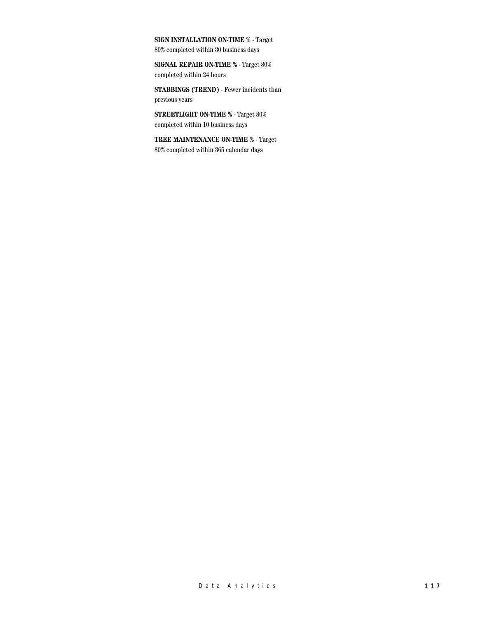**SIGN INSTALLATION ON-TIME %** - Target

80% completed within 30 business days

**SIGNAL REPAIR ON-TIME %** - Target 80% completed within 24 hours

**STABBINGS (TREND)** - Fewer incidents than previous years

**STREETLIGHT ON-TIME %** - Target 80% completed within 10 business days

**TREE MAINTENANCE ON-TIME %** - Target 80% completed within 365 calendar days